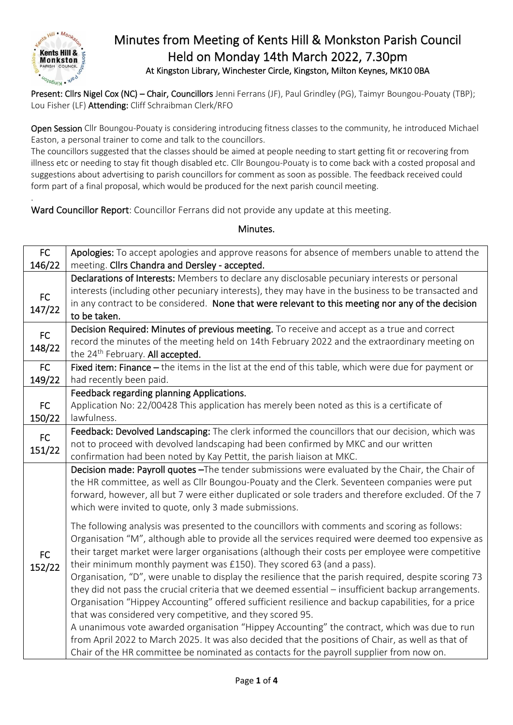

.

## Minutes from Meeting of Kents Hill & Monkston Parish Council Held on Monday 14th March 2022, 7.30pm At Kingston Library, Winchester Circle, Kingston, Milton Keynes, MK10 0BA

Present: Cllrs Nigel Cox (NC) – Chair, Councillors Jenni Ferrans (JF), Paul Grindley (PG), Taimyr Boungou-Pouaty (TBP); Lou Fisher (LF) Attending: Cliff Schraibman Clerk/RFO

Open Session Cllr Boungou-Pouaty is considering introducing fitness classes to the community, he introduced Michael Easton, a personal trainer to come and talk to the councillors.

The councillors suggested that the classes should be aimed at people needing to start getting fit or recovering from illness etc or needing to stay fit though disabled etc. Cllr Boungou-Pouaty is to come back with a costed proposal and suggestions about advertising to parish councillors for comment as soon as possible. The feedback received could form part of a final proposal, which would be produced for the next parish council meeting.

Ward Councillor Report: Councillor Ferrans did not provide any update at this meeting.

## Minutes.

| FC           | Apologies: To accept apologies and approve reasons for absence of members unable to attend the        |
|--------------|-------------------------------------------------------------------------------------------------------|
| 146/22       | meeting. Cllrs Chandra and Dersley - accepted.                                                        |
|              | Declarations of Interests: Members to declare any disclosable pecuniary interests or personal         |
| FC<br>147/22 | interests (including other pecuniary interests), they may have in the business to be transacted and   |
|              | in any contract to be considered. None that were relevant to this meeting nor any of the decision     |
|              | to be taken.                                                                                          |
| FC<br>148/22 | Decision Required: Minutes of previous meeting. To receive and accept as a true and correct           |
|              | record the minutes of the meeting held on 14th February 2022 and the extraordinary meeting on         |
|              | the 24 <sup>th</sup> February. All accepted.                                                          |
| <b>FC</b>    | Fixed item: Finance - the items in the list at the end of this table, which were due for payment or   |
| 149/22       | had recently been paid.                                                                               |
|              | Feedback regarding planning Applications.                                                             |
| FC           | Application No: 22/00428 This application has merely been noted as this is a certificate of           |
| 150/22       | lawfulness.                                                                                           |
| FC           | Feedback: Devolved Landscaping: The clerk informed the councillors that our decision, which was       |
| 151/22       | not to proceed with devolved landscaping had been confirmed by MKC and our written                    |
|              | confirmation had been noted by Kay Pettit, the parish liaison at MKC.                                 |
|              | Decision made: Payroll quotes -The tender submissions were evaluated by the Chair, the Chair of       |
|              | the HR committee, as well as Cllr Boungou-Pouaty and the Clerk. Seventeen companies were put          |
|              | forward, however, all but 7 were either duplicated or sole traders and therefore excluded. Of the 7   |
|              | which were invited to quote, only 3 made submissions.                                                 |
|              | The following analysis was presented to the councillors with comments and scoring as follows:         |
|              | Organisation "M", although able to provide all the services required were deemed too expensive as     |
|              | their target market were larger organisations (although their costs per employee were competitive     |
| <b>FC</b>    | their minimum monthly payment was £150). They scored 63 (and a pass).                                 |
| 152/22       | Organisation, "D", were unable to display the resilience that the parish required, despite scoring 73 |
|              | they did not pass the crucial criteria that we deemed essential - insufficient backup arrangements.   |
|              | Organisation "Hippey Accounting" offered sufficient resilience and backup capabilities, for a price   |
|              | that was considered very competitive, and they scored 95.                                             |
|              | A unanimous vote awarded organisation "Hippey Accounting" the contract, which was due to run          |
|              | from April 2022 to March 2025. It was also decided that the positions of Chair, as well as that of    |
|              | Chair of the HR committee be nominated as contacts for the payroll supplier from now on.              |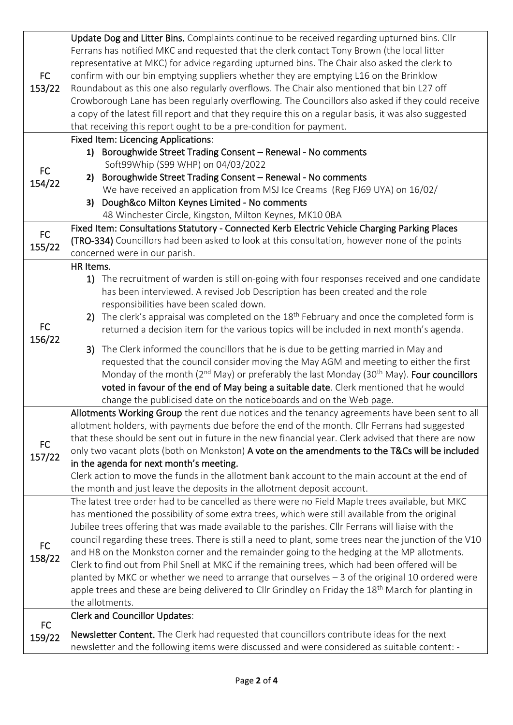| <b>FC</b><br>153/22 | Update Dog and Litter Bins. Complaints continue to be received regarding upturned bins. Cllr<br>Ferrans has notified MKC and requested that the clerk contact Tony Brown (the local litter<br>representative at MKC) for advice regarding upturned bins. The Chair also asked the clerk to<br>confirm with our bin emptying suppliers whether they are emptying L16 on the Brinklow<br>Roundabout as this one also regularly overflows. The Chair also mentioned that bin L27 off<br>Crowborough Lane has been regularly overflowing. The Councillors also asked if they could receive<br>a copy of the latest fill report and that they require this on a regular basis, it was also suggested<br>that receiving this report ought to be a pre-condition for payment.                                                                                      |
|---------------------|-------------------------------------------------------------------------------------------------------------------------------------------------------------------------------------------------------------------------------------------------------------------------------------------------------------------------------------------------------------------------------------------------------------------------------------------------------------------------------------------------------------------------------------------------------------------------------------------------------------------------------------------------------------------------------------------------------------------------------------------------------------------------------------------------------------------------------------------------------------|
| <b>FC</b><br>154/22 | <b>Fixed Item: Licencing Applications:</b><br>1) Boroughwide Street Trading Consent - Renewal - No comments<br>Soft99Whip (S99 WHP) on 04/03/2022<br>Boroughwide Street Trading Consent - Renewal - No comments<br>2)<br>We have received an application from MSJ Ice Creams (Reg FJ69 UYA) on 16/02/<br>Dough&co Milton Keynes Limited - No comments<br>3)<br>48 Winchester Circle, Kingston, Milton Keynes, MK10 OBA                                                                                                                                                                                                                                                                                                                                                                                                                                      |
| FC<br>155/22        | Fixed Item: Consultations Statutory - Connected Kerb Electric Vehicle Charging Parking Places<br>(TRO-334) Councillors had been asked to look at this consultation, however none of the points<br>concerned were in our parish.                                                                                                                                                                                                                                                                                                                                                                                                                                                                                                                                                                                                                             |
| <b>FC</b><br>156/22 | HR Items.<br>1) The recruitment of warden is still on-going with four responses received and one candidate<br>has been interviewed. A revised Job Description has been created and the role<br>responsibilities have been scaled down.<br>2) The clerk's appraisal was completed on the 18 <sup>th</sup> February and once the completed form is<br>returned a decision item for the various topics will be included in next month's agenda.                                                                                                                                                                                                                                                                                                                                                                                                                |
|                     | 3) The Clerk informed the councillors that he is due to be getting married in May and<br>requested that the council consider moving the May AGM and meeting to either the first<br>Monday of the month (2 <sup>nd</sup> May) or preferably the last Monday (30 <sup>th</sup> May). Four councillors<br>voted in favour of the end of May being a suitable date. Clerk mentioned that he would<br>change the publicised date on the noticeboards and on the Web page.                                                                                                                                                                                                                                                                                                                                                                                        |
| <b>FC</b><br>157/22 | Allotments Working Group the rent due notices and the tenancy agreements have been sent to all<br>allotment holders, with payments due before the end of the month. Cllr Ferrans had suggested<br>that these should be sent out in future in the new financial year. Clerk advised that there are now<br>only two vacant plots (both on Monkston) A vote on the amendments to the T&Cs will be included<br>in the agenda for next month's meeting.<br>Clerk action to move the funds in the allotment bank account to the main account at the end of<br>the month and just leave the deposits in the allotment deposit account.                                                                                                                                                                                                                             |
| <b>FC</b><br>158/22 | The latest tree order had to be cancelled as there were no Field Maple trees available, but MKC<br>has mentioned the possibility of some extra trees, which were still available from the original<br>Jubilee trees offering that was made available to the parishes. Cllr Ferrans will liaise with the<br>council regarding these trees. There is still a need to plant, some trees near the junction of the V10<br>and H8 on the Monkston corner and the remainder going to the hedging at the MP allotments.<br>Clerk to find out from Phil Snell at MKC if the remaining trees, which had been offered will be<br>planted by MKC or whether we need to arrange that ourselves - 3 of the original 10 ordered were<br>apple trees and these are being delivered to Cllr Grindley on Friday the 18 <sup>th</sup> March for planting in<br>the allotments. |
| <b>FC</b>           | <b>Clerk and Councillor Updates:</b>                                                                                                                                                                                                                                                                                                                                                                                                                                                                                                                                                                                                                                                                                                                                                                                                                        |
| 159/22              | <b>Newsletter Content.</b> The Clerk had requested that councillors contribute ideas for the next<br>newsletter and the following items were discussed and were considered as suitable content: -                                                                                                                                                                                                                                                                                                                                                                                                                                                                                                                                                                                                                                                           |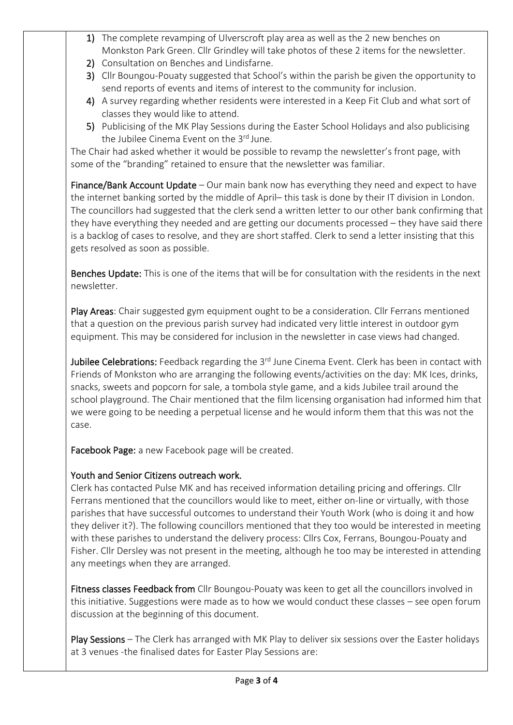- 1) The complete revamping of Ulverscroft play area as well as the 2 new benches on Monkston Park Green. Cllr Grindley will take photos of these 2 items for the newsletter.
- 2) Consultation on Benches and Lindisfarne.
- 3) Cllr Boungou-Pouaty suggested that School's within the parish be given the opportunity to send reports of events and items of interest to the community for inclusion.
- 4) A survey regarding whether residents were interested in a Keep Fit Club and what sort of classes they would like to attend.
- 5) Publicising of the MK Play Sessions during the Easter School Holidays and also publicising the Jubilee Cinema Event on the 3<sup>rd</sup> June.

The Chair had asked whether it would be possible to revamp the newsletter's front page, with some of the "branding" retained to ensure that the newsletter was familiar.

Finance/Bank Account Update – Our main bank now has everything they need and expect to have the internet banking sorted by the middle of April– this task is done by their IT division in London. The councillors had suggested that the clerk send a written letter to our other bank confirming that they have everything they needed and are getting our documents processed – they have said there is a backlog of cases to resolve, and they are short staffed. Clerk to send a letter insisting that this gets resolved as soon as possible.

Benches Update: This is one of the items that will be for consultation with the residents in the next newsletter.

Play Areas: Chair suggested gym equipment ought to be a consideration. Cllr Ferrans mentioned that a question on the previous parish survey had indicated very little interest in outdoor gym equipment. This may be considered for inclusion in the newsletter in case views had changed.

Jubilee Celebrations: Feedback regarding the 3<sup>rd</sup> June Cinema Event. Clerk has been in contact with Friends of Monkston who are arranging the following events/activities on the day: MK Ices, drinks, snacks, sweets and popcorn for sale, a tombola style game, and a kids Jubilee trail around the school playground. The Chair mentioned that the film licensing organisation had informed him that we were going to be needing a perpetual license and he would inform them that this was not the case.

Facebook Page: a new Facebook page will be created.

## Youth and Senior Citizens outreach work.

Clerk has contacted Pulse MK and has received information detailing pricing and offerings. Cllr Ferrans mentioned that the councillors would like to meet, either on-line or virtually, with those parishes that have successful outcomes to understand their Youth Work (who is doing it and how they deliver it?). The following councillors mentioned that they too would be interested in meeting with these parishes to understand the delivery process: Cllrs Cox, Ferrans, Boungou-Pouaty and Fisher. Cllr Dersley was not present in the meeting, although he too may be interested in attending any meetings when they are arranged.

Fitness classes Feedback from Cllr Boungou-Pouaty was keen to get all the councillors involved in this initiative. Suggestions were made as to how we would conduct these classes – see open forum discussion at the beginning of this document.

Play Sessions – The Clerk has arranged with MK Play to deliver six sessions over the Easter holidays at 3 venues -the finalised dates for Easter Play Sessions are: